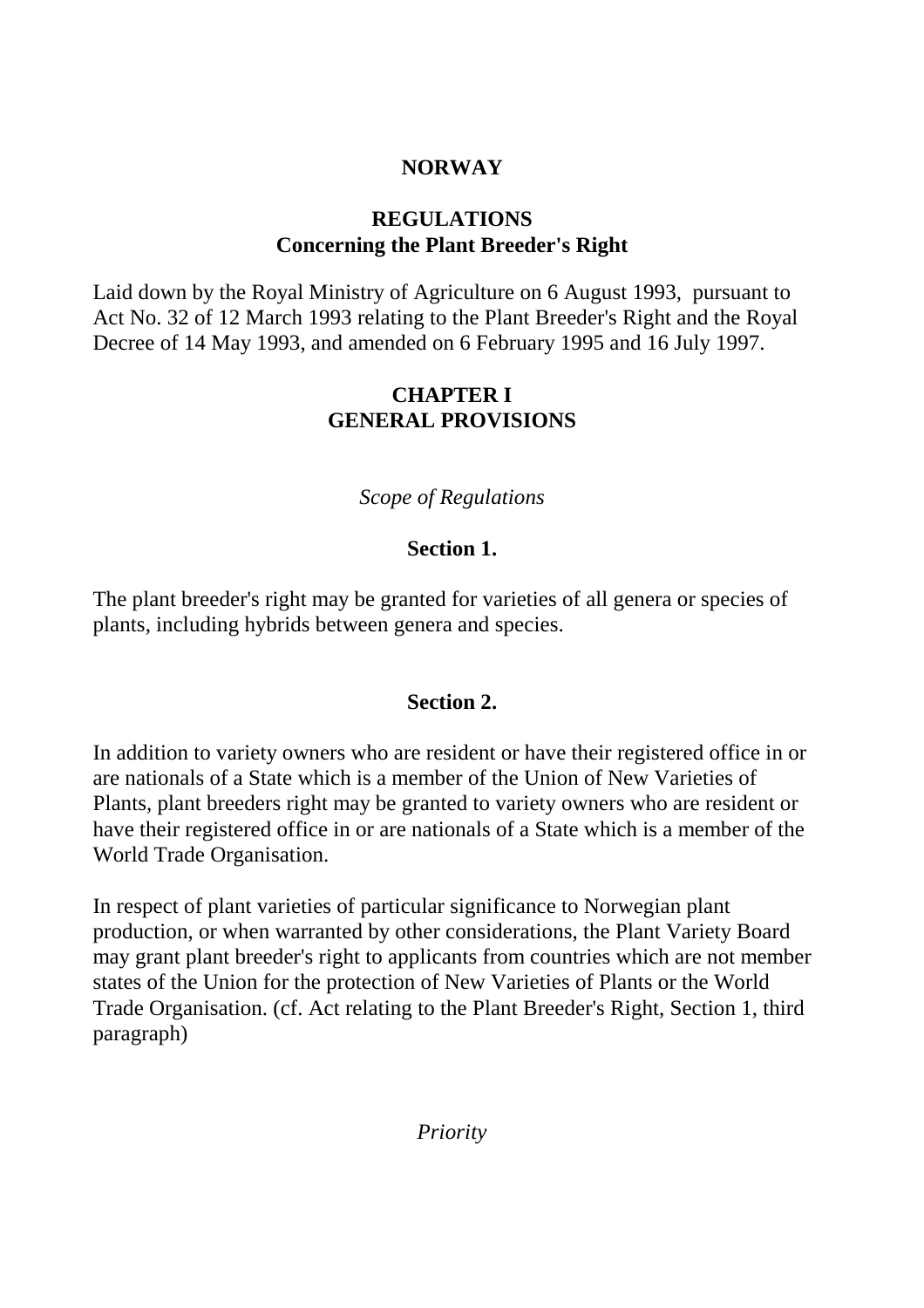# **NORWAY**

# **REGULATIONS Concerning the Plant Breeder's Right**

Laid down by the Royal Ministry of Agriculture on 6 August 1993, pursuant to Act No. 32 of 12 March 1993 relating to the Plant Breeder's Right and the Royal Decree of 14 May 1993, and amended on 6 February 1995 and 16 July 1997.

# **CHAPTER I GENERAL PROVISIONS**

*Scope of Regulations*

# **Section 1.**

The plant breeder's right may be granted for varieties of all genera or species of plants, including hybrids between genera and species.

# **Section 2.**

In addition to variety owners who are resident or have their registered office in or are nationals of a State which is a member of the Union of New Varieties of Plants, plant breeders right may be granted to variety owners who are resident or have their registered office in or are nationals of a State which is a member of the World Trade Organisation.

In respect of plant varieties of particular significance to Norwegian plant production, or when warranted by other considerations, the Plant Variety Board may grant plant breeder's right to applicants from countries which are not member states of the Union for the protection of New Varieties of Plants or the World Trade Organisation. (cf. Act relating to the Plant Breeder's Right, Section 1, third paragraph)

*Priority*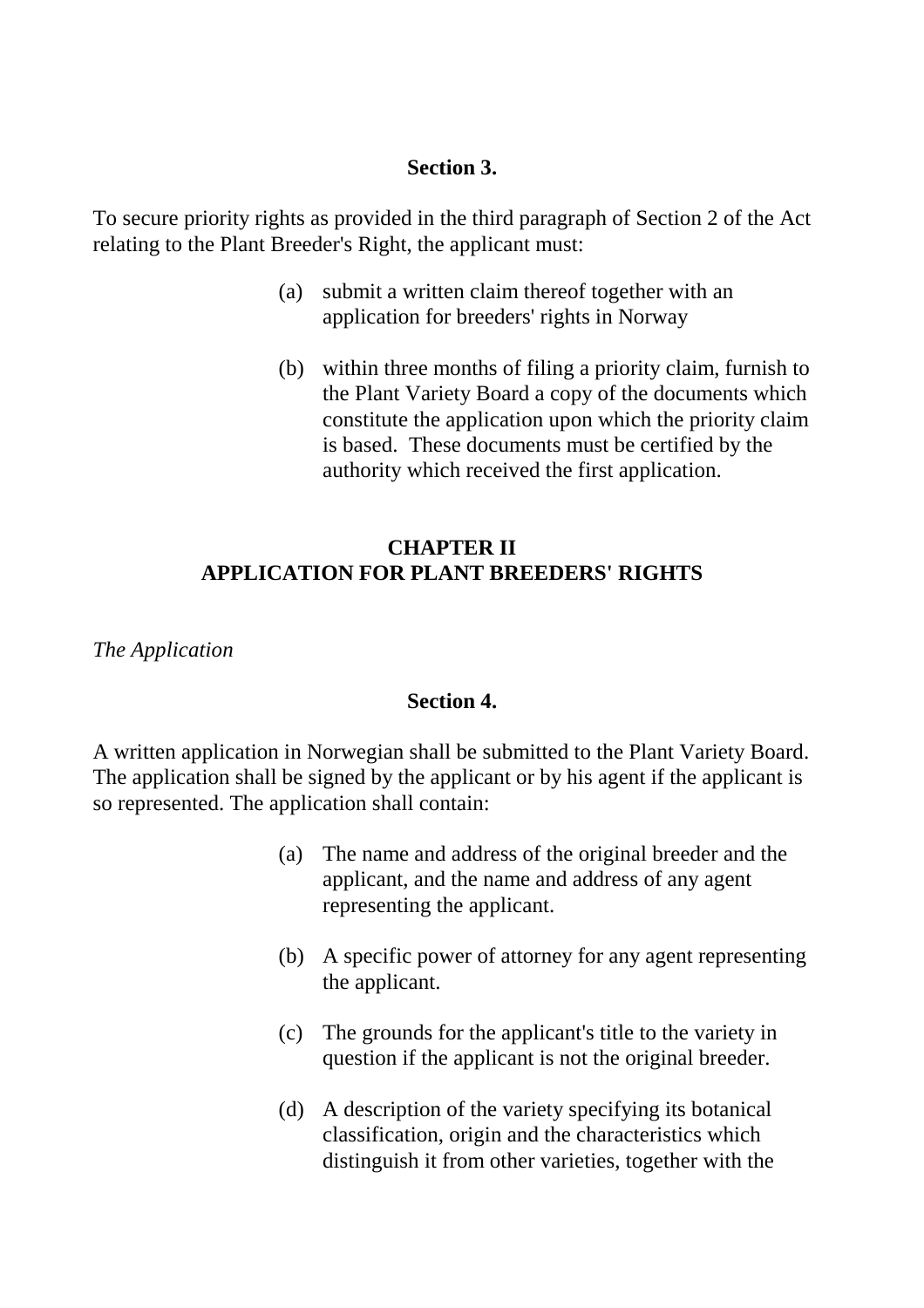### **Section 3.**

To secure priority rights as provided in the third paragraph of Section 2 of the Act relating to the Plant Breeder's Right, the applicant must:

- (a) submit a written claim thereof together with an application for breeders' rights in Norway
- (b) within three months of filing a priority claim, furnish to the Plant Variety Board a copy of the documents which constitute the application upon which the priority claim is based. These documents must be certified by the authority which received the first application.

# **CHAPTER II APPLICATION FOR PLANT BREEDERS' RIGHTS**

*The Application*

## **Section 4.**

A written application in Norwegian shall be submitted to the Plant Variety Board. The application shall be signed by the applicant or by his agent if the applicant is so represented. The application shall contain:

- (a) The name and address of the original breeder and the applicant, and the name and address of any agent representing the applicant.
- (b) A specific power of attorney for any agent representing the applicant.
- (c) The grounds for the applicant's title to the variety in question if the applicant is not the original breeder.
- (d) A description of the variety specifying its botanical classification, origin and the characteristics which distinguish it from other varieties, together with the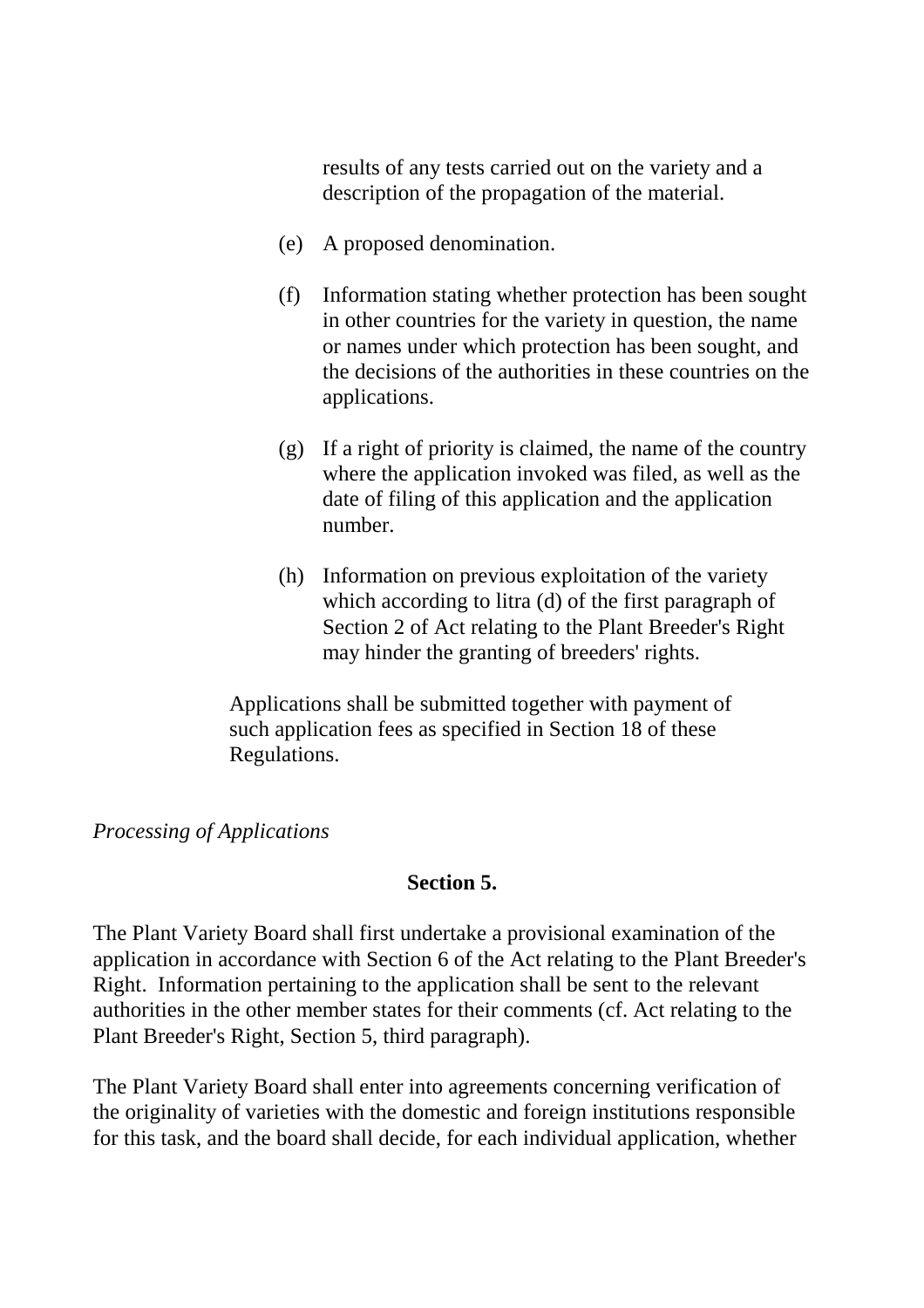results of any tests carried out on the variety and a description of the propagation of the material.

- (e) A proposed denomination.
- (f) Information stating whether protection has been sought in other countries for the variety in question, the name or names under which protection has been sought, and the decisions of the authorities in these countries on the applications.
- (g) If a right of priority is claimed, the name of the country where the application invoked was filed, as well as the date of filing of this application and the application number.
- (h) Information on previous exploitation of the variety which according to litra (d) of the first paragraph of Section 2 of Act relating to the Plant Breeder's Right may hinder the granting of breeders' rights.

Applications shall be submitted together with payment of such application fees as specified in Section 18 of these Regulations.

#### *Processing of Applications*

### **Section 5.**

The Plant Variety Board shall first undertake a provisional examination of the application in accordance with Section 6 of the Act relating to the Plant Breeder's Right. Information pertaining to the application shall be sent to the relevant authorities in the other member states for their comments (cf. Act relating to the Plant Breeder's Right, Section 5, third paragraph).

The Plant Variety Board shall enter into agreements concerning verification of the originality of varieties with the domestic and foreign institutions responsible for this task, and the board shall decide, for each individual application, whether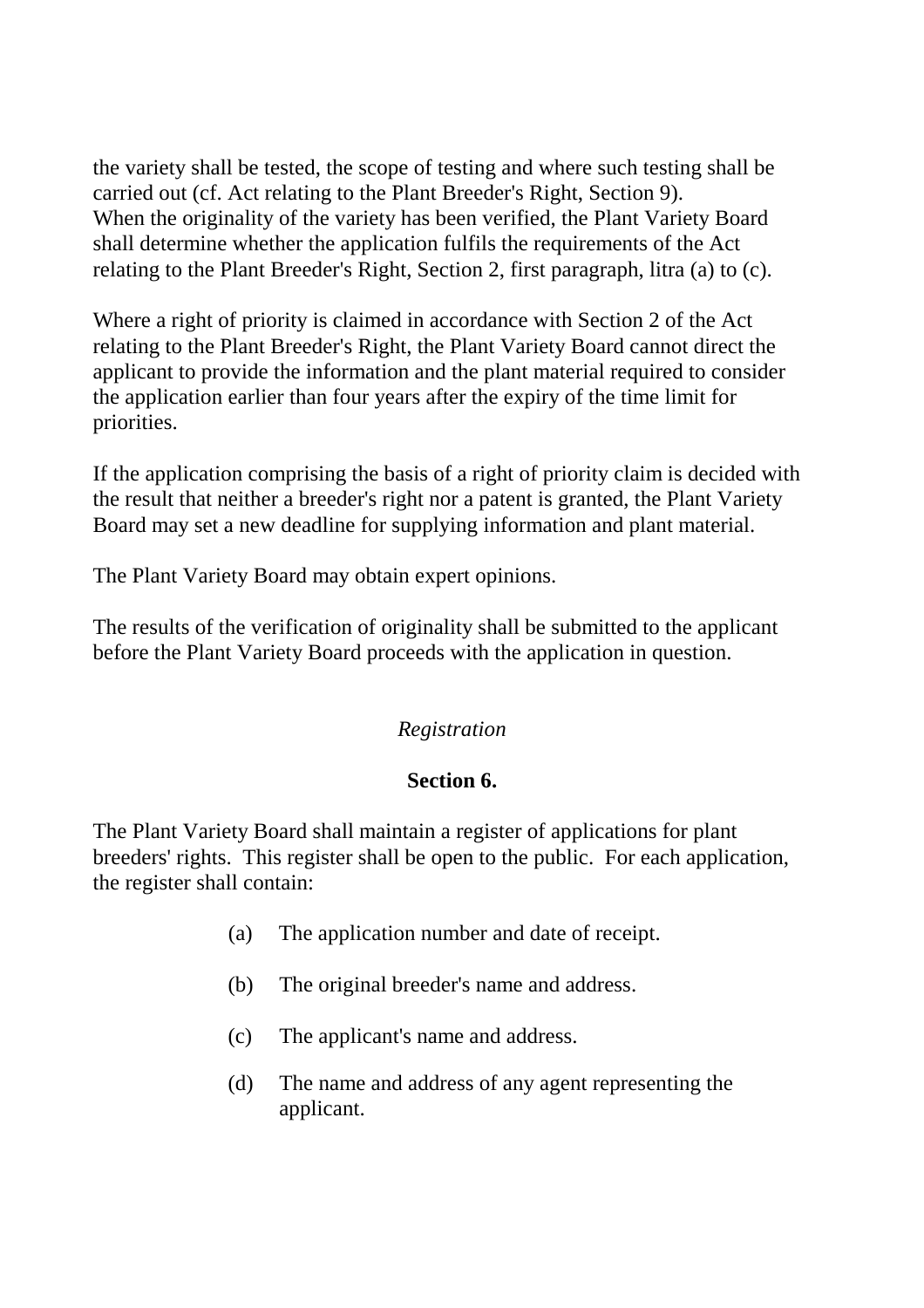the variety shall be tested, the scope of testing and where such testing shall be carried out (cf. Act relating to the Plant Breeder's Right, Section 9). When the originality of the variety has been verified, the Plant Variety Board shall determine whether the application fulfils the requirements of the Act relating to the Plant Breeder's Right, Section 2, first paragraph, litra (a) to (c).

Where a right of priority is claimed in accordance with Section 2 of the Act relating to the Plant Breeder's Right, the Plant Variety Board cannot direct the applicant to provide the information and the plant material required to consider the application earlier than four years after the expiry of the time limit for priorities.

If the application comprising the basis of a right of priority claim is decided with the result that neither a breeder's right nor a patent is granted, the Plant Variety Board may set a new deadline for supplying information and plant material.

The Plant Variety Board may obtain expert opinions.

The results of the verification of originality shall be submitted to the applicant before the Plant Variety Board proceeds with the application in question.

# *Registration*

# **Section 6.**

The Plant Variety Board shall maintain a register of applications for plant breeders' rights. This register shall be open to the public. For each application, the register shall contain:

- (a) The application number and date of receipt.
- (b) The original breeder's name and address.
- (c) The applicant's name and address.
- (d) The name and address of any agent representing the applicant.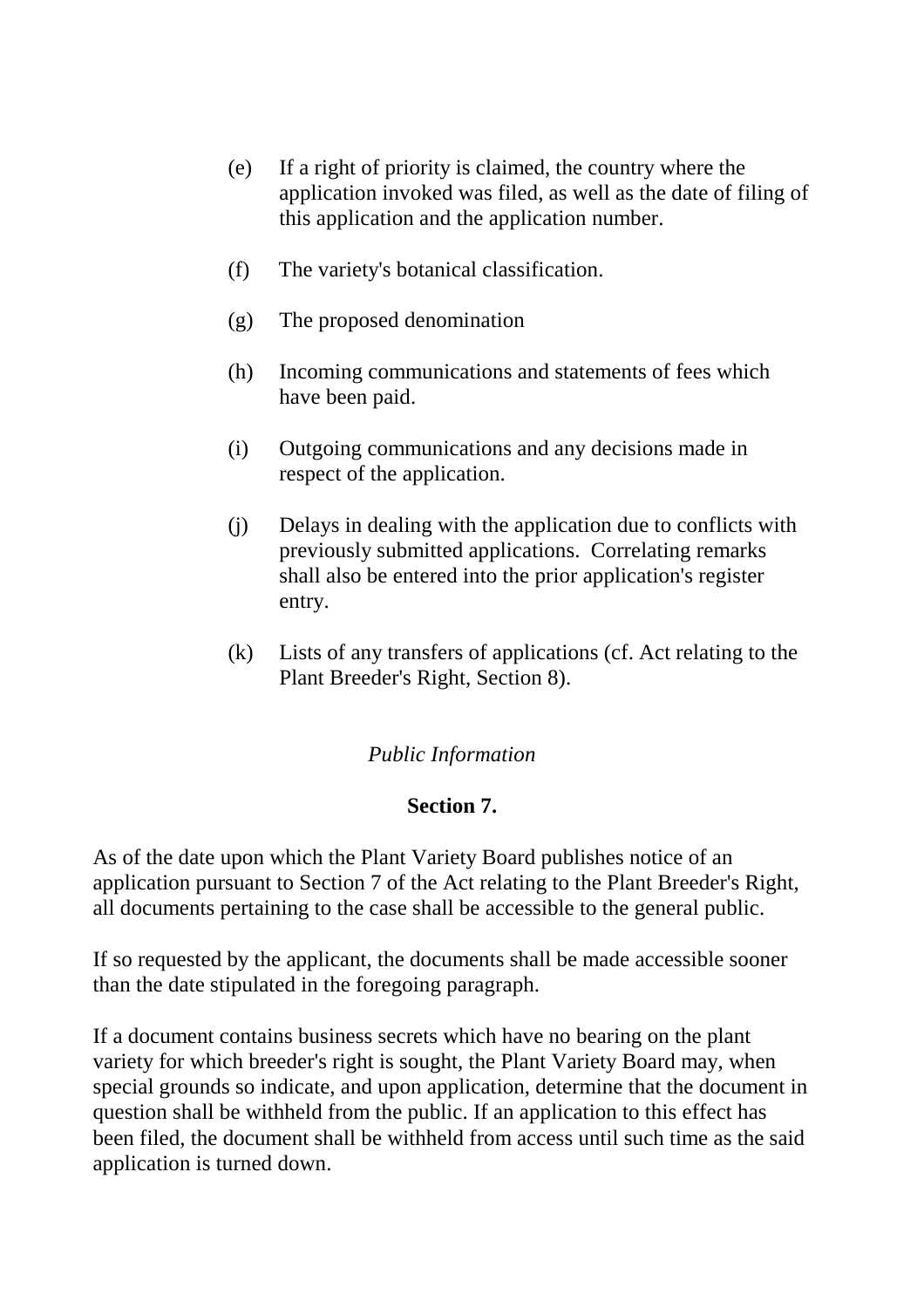- (e) If a right of priority is claimed, the country where the application invoked was filed, as well as the date of filing of this application and the application number.
- (f) The variety's botanical classification.
- (g) The proposed denomination
- (h) Incoming communications and statements of fees which have been paid.
- (i) Outgoing communications and any decisions made in respect of the application.
- (j) Delays in dealing with the application due to conflicts with previously submitted applications. Correlating remarks shall also be entered into the prior application's register entry.
- (k) Lists of any transfers of applications (cf. Act relating to the Plant Breeder's Right, Section 8).

## *Public Information*

## **Section 7.**

As of the date upon which the Plant Variety Board publishes notice of an application pursuant to Section 7 of the Act relating to the Plant Breeder's Right, all documents pertaining to the case shall be accessible to the general public.

If so requested by the applicant, the documents shall be made accessible sooner than the date stipulated in the foregoing paragraph.

If a document contains business secrets which have no bearing on the plant variety for which breeder's right is sought, the Plant Variety Board may, when special grounds so indicate, and upon application, determine that the document in question shall be withheld from the public. If an application to this effect has been filed, the document shall be withheld from access until such time as the said application is turned down.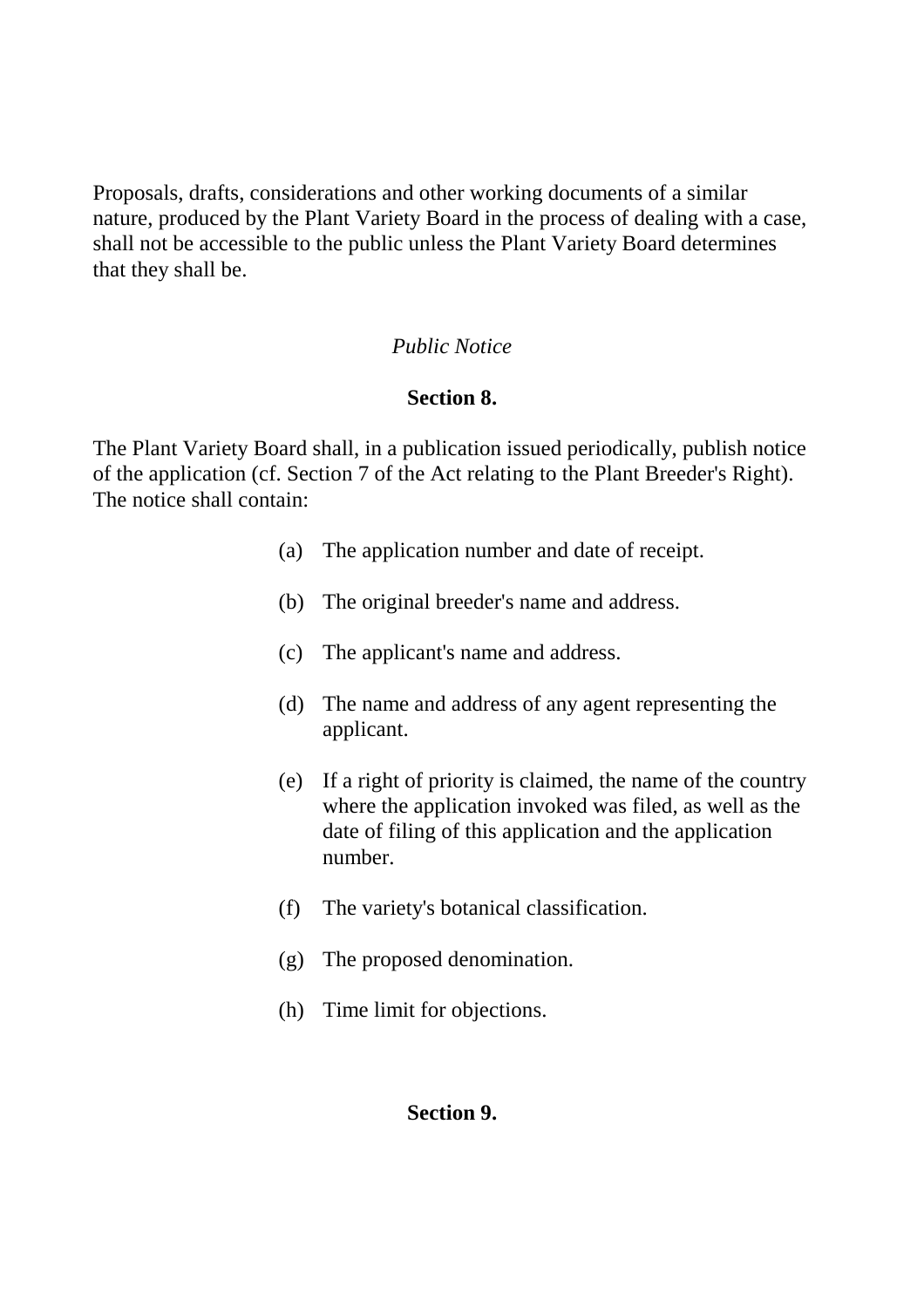Proposals, drafts, considerations and other working documents of a similar nature, produced by the Plant Variety Board in the process of dealing with a case, shall not be accessible to the public unless the Plant Variety Board determines that they shall be.

### *Public Notice*

### **Section 8.**

The Plant Variety Board shall, in a publication issued periodically, publish notice of the application (cf. Section 7 of the Act relating to the Plant Breeder's Right). The notice shall contain:

- (a) The application number and date of receipt.
- (b) The original breeder's name and address.
- (c) The applicant's name and address.
- (d) The name and address of any agent representing the applicant.
- (e) If a right of priority is claimed, the name of the country where the application invoked was filed, as well as the date of filing of this application and the application number.
- (f) The variety's botanical classification.
- (g) The proposed denomination.
- (h) Time limit for objections.

#### **Section 9.**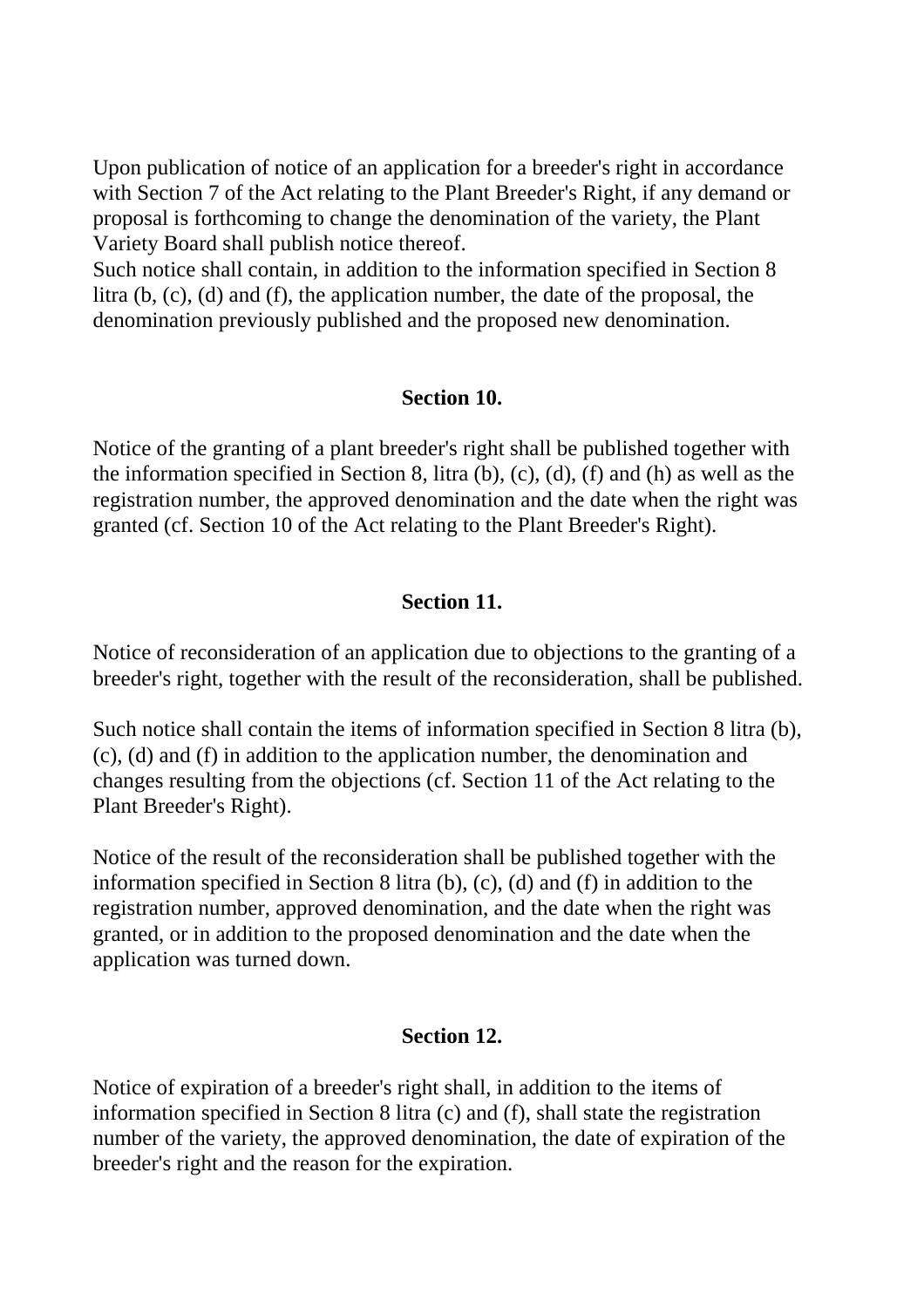Upon publication of notice of an application for a breeder's right in accordance with Section 7 of the Act relating to the Plant Breeder's Right, if any demand or proposal is forthcoming to change the denomination of the variety, the Plant Variety Board shall publish notice thereof.

Such notice shall contain, in addition to the information specified in Section 8 litra (b, (c), (d) and (f), the application number, the date of the proposal, the denomination previously published and the proposed new denomination.

### **Section 10.**

Notice of the granting of a plant breeder's right shall be published together with the information specified in Section 8, litra (b), (c), (d), (f) and (h) as well as the registration number, the approved denomination and the date when the right was granted (cf. Section 10 of the Act relating to the Plant Breeder's Right).

## **Section 11.**

Notice of reconsideration of an application due to objections to the granting of a breeder's right, together with the result of the reconsideration, shall be published.

Such notice shall contain the items of information specified in Section 8 litra (b), (c), (d) and (f) in addition to the application number, the denomination and changes resulting from the objections (cf. Section 11 of the Act relating to the Plant Breeder's Right).

Notice of the result of the reconsideration shall be published together with the information specified in Section 8 litra (b), (c), (d) and (f) in addition to the registration number, approved denomination, and the date when the right was granted, or in addition to the proposed denomination and the date when the application was turned down.

#### **Section 12.**

Notice of expiration of a breeder's right shall, in addition to the items of information specified in Section 8 litra (c) and (f), shall state the registration number of the variety, the approved denomination, the date of expiration of the breeder's right and the reason for the expiration.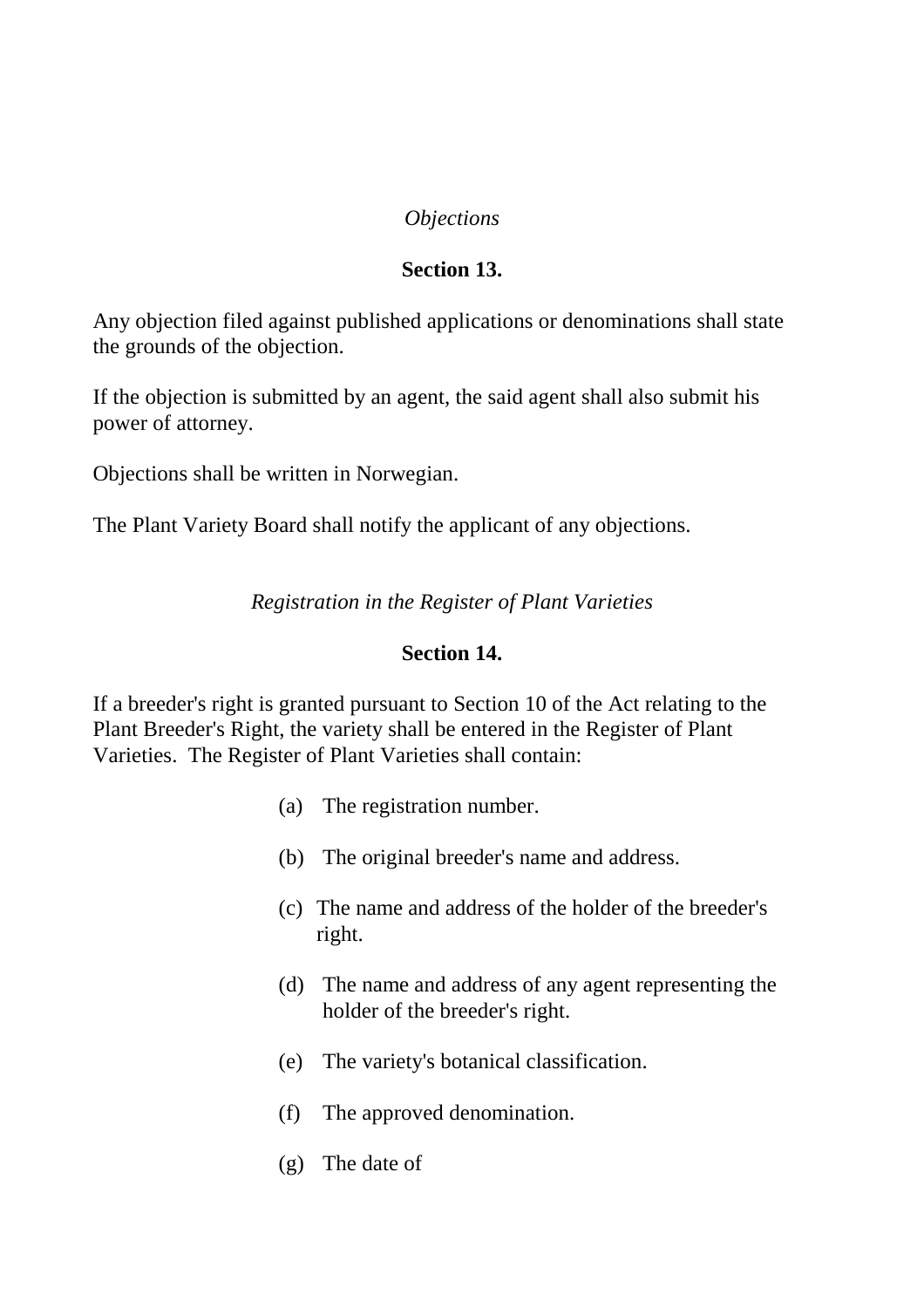## *Objections*

## **Section 13.**

Any objection filed against published applications or denominations shall state the grounds of the objection.

If the objection is submitted by an agent, the said agent shall also submit his power of attorney.

Objections shall be written in Norwegian.

The Plant Variety Board shall notify the applicant of any objections.

*Registration in the Register of Plant Varieties*

#### **Section 14.**

If a breeder's right is granted pursuant to Section 10 of the Act relating to the Plant Breeder's Right, the variety shall be entered in the Register of Plant Varieties. The Register of Plant Varieties shall contain:

- (a) The registration number.
- (b) The original breeder's name and address.
- (c) The name and address of the holder of the breeder's right.
- (d) The name and address of any agent representing the holder of the breeder's right.
- (e) The variety's botanical classification.
- (f) The approved denomination.
- (g) The date of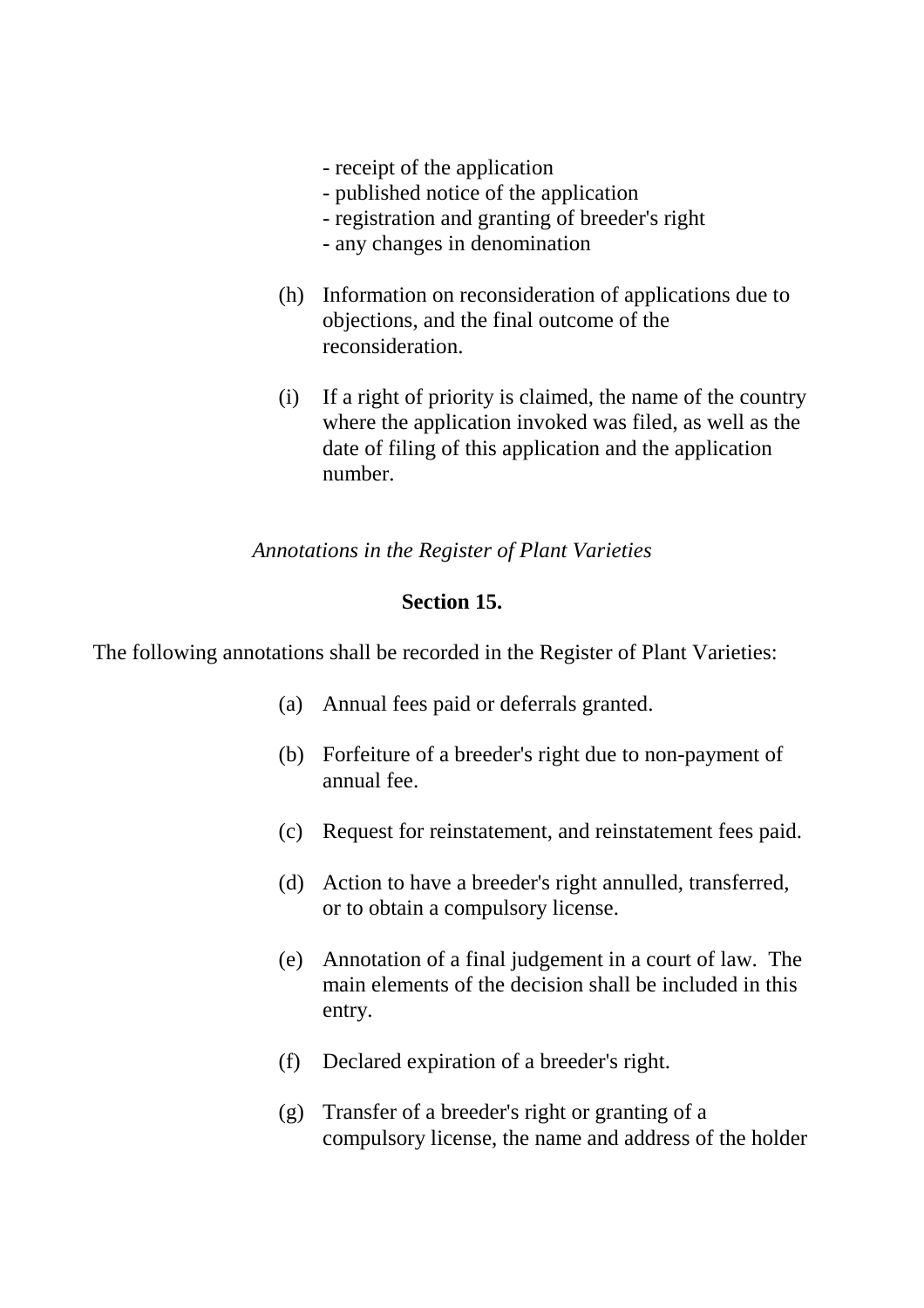- receipt of the application
- published notice of the application
- registration and granting of breeder's right
- any changes in denomination
- (h) Information on reconsideration of applications due to objections, and the final outcome of the reconsideration.
- (i) If a right of priority is claimed, the name of the country where the application invoked was filed, as well as the date of filing of this application and the application number.

### *Annotations in the Register of Plant Varieties*

### **Section 15.**

The following annotations shall be recorded in the Register of Plant Varieties:

- (a) Annual fees paid or deferrals granted.
- (b) Forfeiture of a breeder's right due to non-payment of annual fee.
- (c) Request for reinstatement, and reinstatement fees paid.
- (d) Action to have a breeder's right annulled, transferred, or to obtain a compulsory license.
- (e) Annotation of a final judgement in a court of law. The main elements of the decision shall be included in this entry.
- (f) Declared expiration of a breeder's right.
- (g) Transfer of a breeder's right or granting of a compulsory license, the name and address of the holder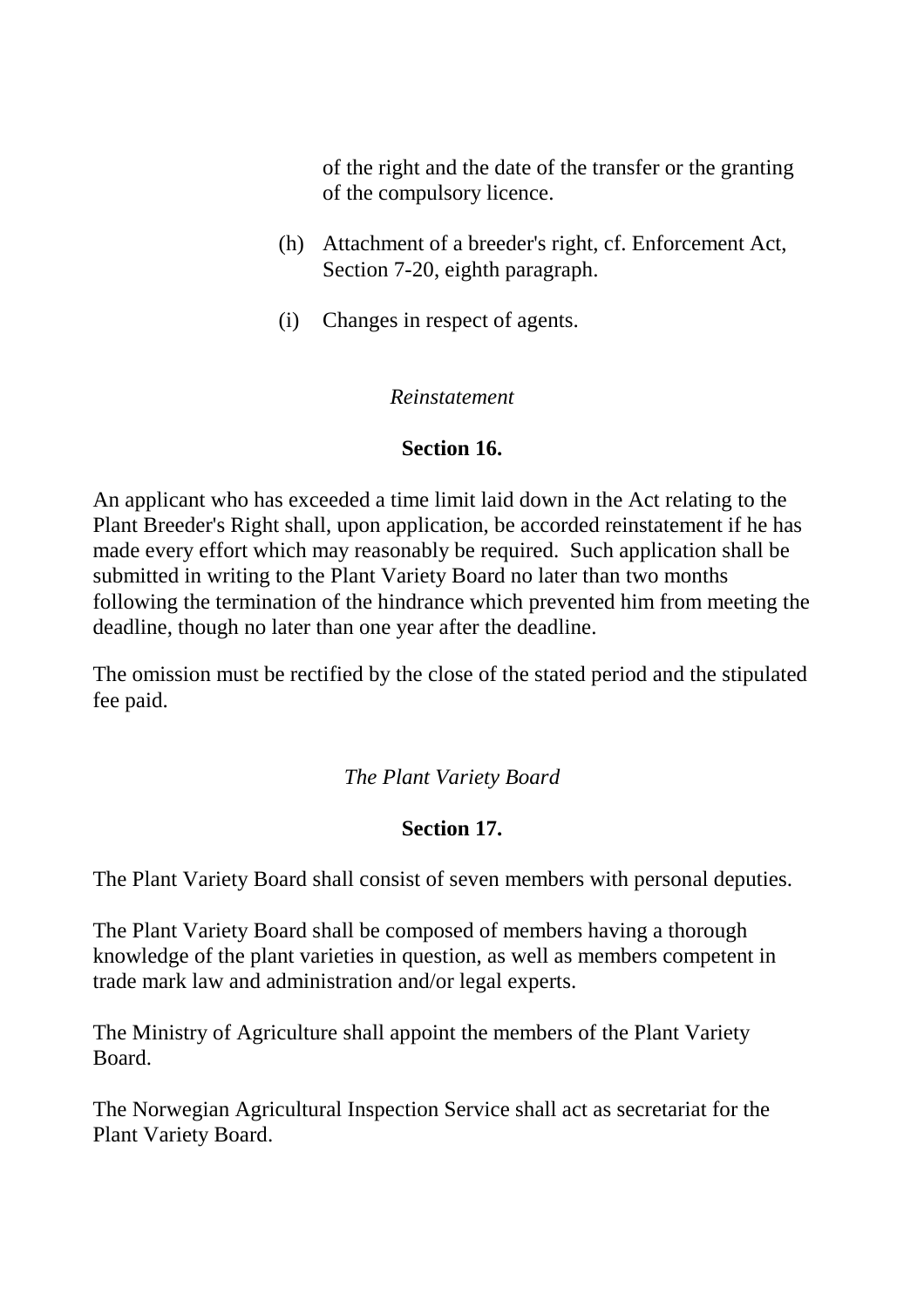of the right and the date of the transfer or the granting of the compulsory licence.

- (h) Attachment of a breeder's right, cf. Enforcement Act, Section 7-20, eighth paragraph.
- (i) Changes in respect of agents.

### *Reinstatement*

## **Section 16.**

An applicant who has exceeded a time limit laid down in the Act relating to the Plant Breeder's Right shall, upon application, be accorded reinstatement if he has made every effort which may reasonably be required. Such application shall be submitted in writing to the Plant Variety Board no later than two months following the termination of the hindrance which prevented him from meeting the deadline, though no later than one year after the deadline.

The omission must be rectified by the close of the stated period and the stipulated fee paid.

## *The Plant Variety Board*

# **Section 17.**

The Plant Variety Board shall consist of seven members with personal deputies.

The Plant Variety Board shall be composed of members having a thorough knowledge of the plant varieties in question, as well as members competent in trade mark law and administration and/or legal experts.

The Ministry of Agriculture shall appoint the members of the Plant Variety Board.

The Norwegian Agricultural Inspection Service shall act as secretariat for the Plant Variety Board.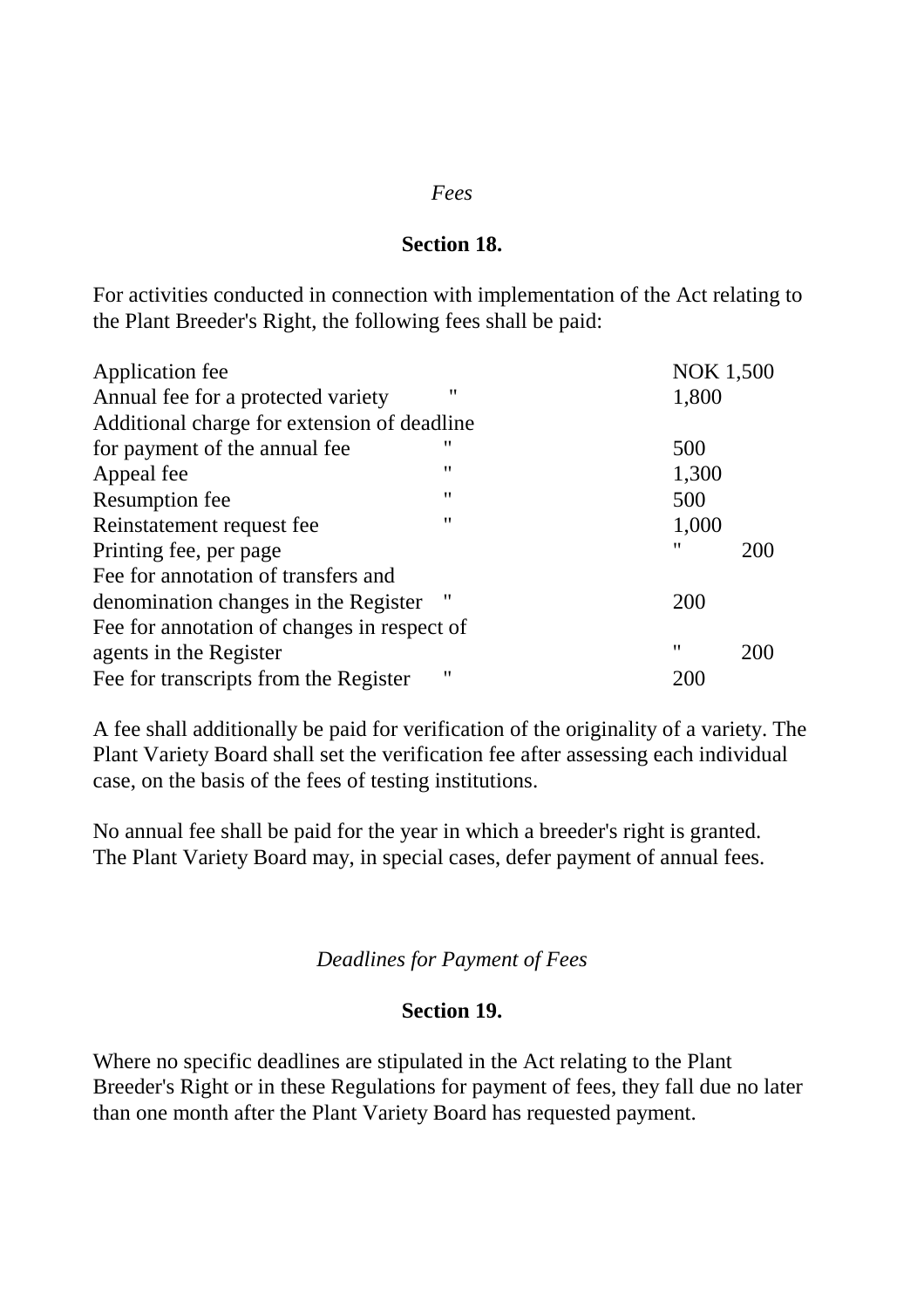#### *Fees*

#### **Section 18.**

For activities conducted in connection with implementation of the Act relating to the Plant Breeder's Right, the following fees shall be paid:

| Application fee                             |                   | <b>NOK 1,500</b> |     |
|---------------------------------------------|-------------------|------------------|-----|
| Annual fee for a protected variety          | "                 | 1,800            |     |
| Additional charge for extension of deadline |                   |                  |     |
| for payment of the annual fee               | "                 | 500              |     |
| Appeal fee                                  | "                 | 1,300            |     |
| <b>Resumption fee</b>                       | $^{\prime\prime}$ | 500              |     |
| Reinstatement request fee                   | 11                | 1,000            |     |
| Printing fee, per page                      |                   | 11               | 200 |
| Fee for annotation of transfers and         |                   |                  |     |
| denomination changes in the Register        | 11                | 200              |     |
| Fee for annotation of changes in respect of |                   |                  |     |
| agents in the Register                      |                   | 11               | 200 |
| Fee for transcripts from the Register       | "                 | 200              |     |

A fee shall additionally be paid for verification of the originality of a variety. The Plant Variety Board shall set the verification fee after assessing each individual case, on the basis of the fees of testing institutions.

No annual fee shall be paid for the year in which a breeder's right is granted. The Plant Variety Board may, in special cases, defer payment of annual fees.

#### *Deadlines for Payment of Fees*

#### **Section 19.**

Where no specific deadlines are stipulated in the Act relating to the Plant Breeder's Right or in these Regulations for payment of fees, they fall due no later than one month after the Plant Variety Board has requested payment.